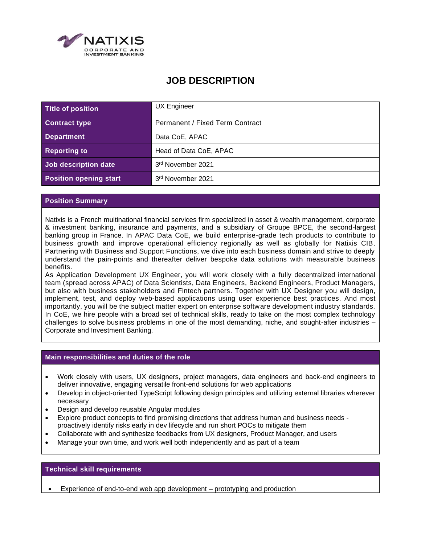

# **JOB DESCRIPTION**

| Title of position             | <b>UX Engineer</b>              |
|-------------------------------|---------------------------------|
| <b>Contract type</b>          | Permanent / Fixed Term Contract |
| <b>Department</b>             | Data CoE, APAC                  |
| <b>Reporting to</b>           | Head of Data CoE, APAC          |
| Job description date          | 3rd November 2021               |
| <b>Position opening start</b> | 3rd November 2021               |

## **Position Summary**

Natixis is a French multinational financial services firm specialized in asset & wealth management, corporate & investment banking, insurance and payments, and a subsidiary of Groupe BPCE, the second-largest banking group in France. In APAC Data CoE, we build enterprise-grade tech products to contribute to business growth and improve operational efficiency regionally as well as globally for Natixis CIB. Partnering with Business and Support Functions, we dive into each business domain and strive to deeply understand the pain-points and thereafter deliver bespoke data solutions with measurable business benefits.

As Application Development UX Engineer, you will work closely with a fully decentralized international team (spread across APAC) of Data Scientists, Data Engineers, Backend Engineers, Product Managers, but also with business stakeholders and Fintech partners. Together with UX Designer you will design, implement, test, and deploy web-based applications using user experience best practices. And most importantly, you will be the subject matter expert on enterprise software development industry standards. In CoE, we hire people with a broad set of technical skills, ready to take on the most complex technology challenges to solve business problems in one of the most demanding, niche, and sought-after industries – Corporate and Investment Banking.

### **Main responsibilities and duties of the role**

- Work closely with users, UX designers, project managers, data engineers and back-end engineers to deliver innovative, engaging versatile front-end solutions for web applications
- Develop in object-oriented TypeScript following design principles and utilizing external libraries wherever necessary
- Design and develop reusable Angular modules
- Explore product concepts to find promising directions that address human and business needs proactively identify risks early in dev lifecycle and run short POCs to mitigate them
- Collaborate with and synthesize feedbacks from UX designers, Product Manager, and users
- Manage your own time, and work well both independently and as part of a team

### **Technical skill requirements**

• Experience of end-to-end web app development – prototyping and production